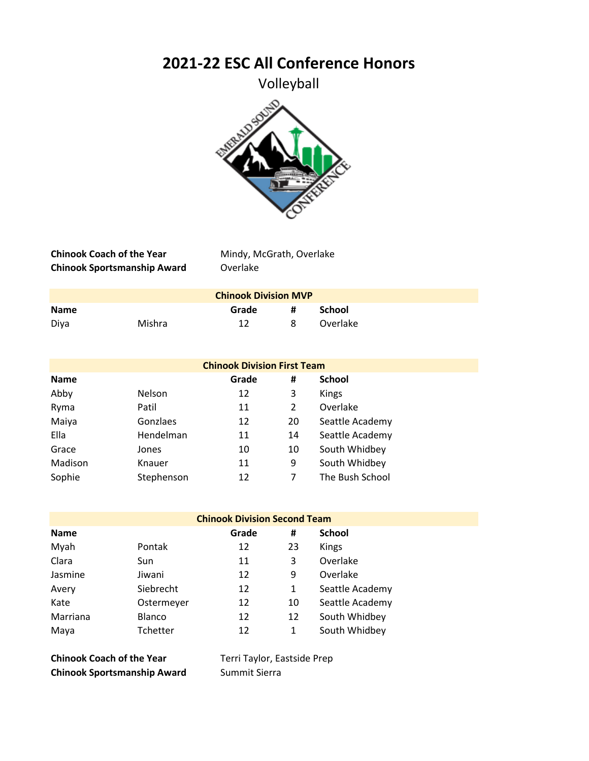**2021-22 ESC All Conference Honors**

Volleyball



**Chinook Coach of the Year** Mindy, McGrath, Overlake **Chinook Sportsmanship Award** Overlake

| <b>Chinook Division MVP</b> |        |       |   |          |  |
|-----------------------------|--------|-------|---|----------|--|
| <b>Name</b>                 |        | Grade | # | School   |  |
| Diya                        | Mishra | 12    | 8 | Overlake |  |

|             |               | <b>Chinook Division First Team</b> |    |                 |  |
|-------------|---------------|------------------------------------|----|-----------------|--|
| <b>Name</b> |               | Grade                              | #  | <b>School</b>   |  |
| Abby        | <b>Nelson</b> | 12                                 | 3  | Kings           |  |
| Ryma        | Patil         | 11                                 | 2  | Overlake        |  |
| Maiya       | Gonzlaes      | 12                                 | 20 | Seattle Academy |  |
| Ella        | Hendelman     | 11                                 | 14 | Seattle Academy |  |
| Grace       | Jones         | 10                                 | 10 | South Whidbey   |  |
| Madison     | Knauer        | 11                                 | 9  | South Whidbey   |  |
| Sophie      | Stephenson    | 12                                 | 7  | The Bush School |  |

|             | <b>Chinook Division Second Team</b> |       |    |                 |
|-------------|-------------------------------------|-------|----|-----------------|
| <b>Name</b> |                                     | Grade | #  | <b>School</b>   |
| Myah        | Pontak                              | 12    | 23 | Kings           |
| Clara       | Sun                                 | 11    | 3  | Overlake        |
| Jasmine     | Jiwani                              | 12    | 9  | Overlake        |
| Avery       | Siebrecht                           | 12    | 1  | Seattle Academy |
| Kate        | Ostermeyer                          | 12    | 10 | Seattle Academy |
| Marriana    | <b>Blanco</b>                       | 12    | 12 | South Whidbey   |
| Maya        | Tchetter                            | 12    | 1  | South Whidbey   |

**Chinook Coach of the Year** Terri Taylor, Eastside Prep **Chinook Sportsmanship Award** Summit Sierra